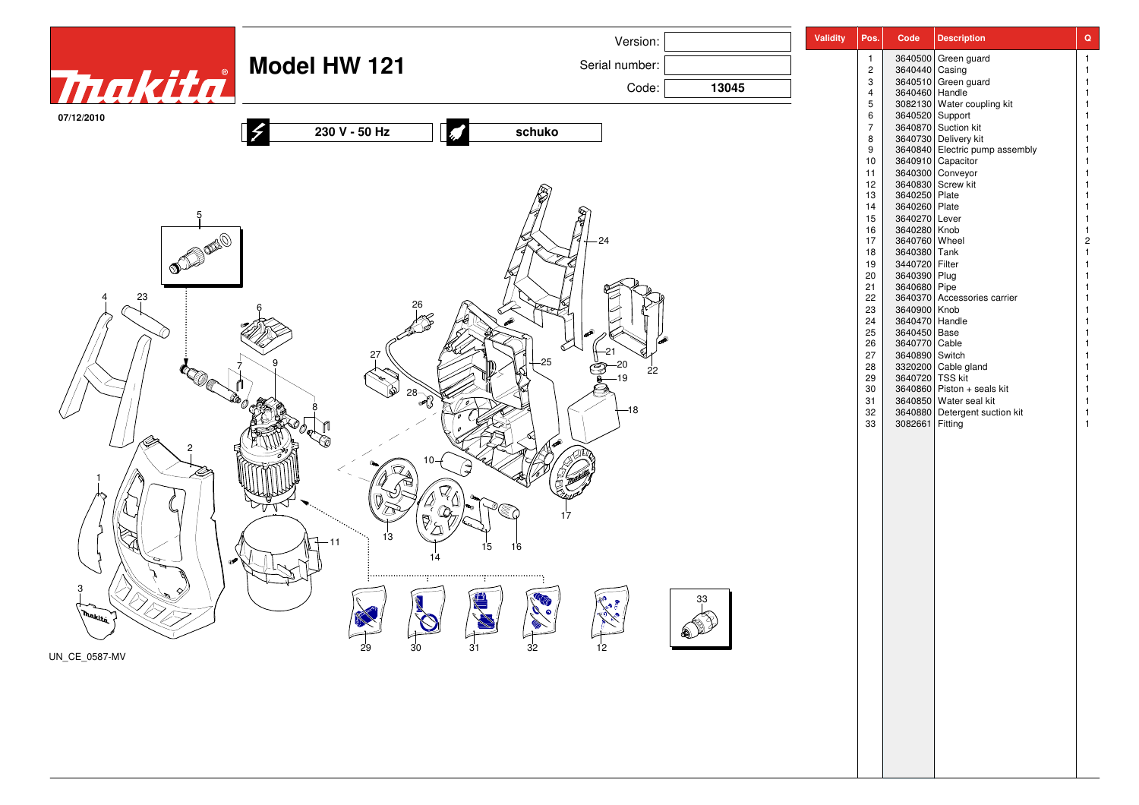|                                                                                                                                                                                                                                                                                                                                    |                                   | Version:                                                                      |       | <b>Validity</b> | Pos.                | Code                           | <b>Description</b>                                      | $\mathbf Q$ |
|------------------------------------------------------------------------------------------------------------------------------------------------------------------------------------------------------------------------------------------------------------------------------------------------------------------------------------|-----------------------------------|-------------------------------------------------------------------------------|-------|-----------------|---------------------|--------------------------------|---------------------------------------------------------|-------------|
| Tnakita                                                                                                                                                                                                                                                                                                                            | <b>Model HW 121</b>               | Serial number:                                                                |       |                 | $\overline{c}$      | 3640440 Casing                 | 3640500 Green guard                                     |             |
|                                                                                                                                                                                                                                                                                                                                    |                                   | Code:                                                                         | 13045 |                 | $\mathbf{3}$        |                                | 3640510 Green guard                                     |             |
|                                                                                                                                                                                                                                                                                                                                    |                                   |                                                                               |       |                 | $\overline{4}$<br>5 |                                | 3640460<br>3082130 Handle<br>3082130 Water coupling kit |             |
| 07/12/2010                                                                                                                                                                                                                                                                                                                         |                                   |                                                                               |       |                 | 6                   | 3640520 Support                |                                                         |             |
|                                                                                                                                                                                                                                                                                                                                    | 230 V - 50 Hz                     | schuko                                                                        |       |                 | $\overline{7}$<br>8 |                                | 3640870 Suction kit<br>3640730 Delivery kit             |             |
|                                                                                                                                                                                                                                                                                                                                    |                                   |                                                                               |       |                 | 9<br>10             |                                | 3640840 Electric pump assembly<br>3640910 Capacitor     |             |
|                                                                                                                                                                                                                                                                                                                                    |                                   |                                                                               |       |                 | 11                  |                                | 3640300 Conveyor                                        |             |
|                                                                                                                                                                                                                                                                                                                                    |                                   |                                                                               |       |                 | 12<br>13            | 3640250 Plate                  | 3640830 Screw kit                                       |             |
|                                                                                                                                                                                                                                                                                                                                    |                                   |                                                                               |       |                 | 14                  | 3640260 Plate                  |                                                         |             |
| $\begin{picture}(120,140)(-30,140){\line(1,0){156}} \put(150,140){\line(1,0){156}} \put(150,140){\line(1,0){156}} \put(150,140){\line(1,0){156}} \put(150,140){\line(1,0){156}} \put(150,140){\line(1,0){156}} \put(150,140){\line(1,0){156}} \put(150,140){\line(1,0){156}} \put(150,140){\line(1,0){156}} \put(150,140){\$<br>24 |                                   |                                                                               |       |                 | 15<br>16            | 3640270 Lever                  |                                                         |             |
|                                                                                                                                                                                                                                                                                                                                    |                                   |                                                                               |       |                 | 17                  | 3640280 Knob<br>3640760 Wheel  |                                                         | 2           |
|                                                                                                                                                                                                                                                                                                                                    |                                   |                                                                               |       |                 | 18<br>19            | 3640380 Tank<br>3440720 Filter |                                                         |             |
|                                                                                                                                                                                                                                                                                                                                    |                                   |                                                                               |       |                 | 20                  | 3640390 Plug                   |                                                         |             |
| 23                                                                                                                                                                                                                                                                                                                                 |                                   |                                                                               |       |                 | 21<br>22            | 3640680 Pipe                   | 3640370 Accessories carrier                             |             |
|                                                                                                                                                                                                                                                                                                                                    |                                   |                                                                               |       |                 | 23                  | 3640900 Knob                   |                                                         |             |
|                                                                                                                                                                                                                                                                                                                                    |                                   |                                                                               |       |                 | 24<br>$25\,$        | 3640470 Handle<br>3640450 Base |                                                         |             |
|                                                                                                                                                                                                                                                                                                                                    |                                   |                                                                               |       |                 | 26                  | 3640770 Cable                  |                                                         |             |
|                                                                                                                                                                                                                                                                                                                                    | 27                                |                                                                               |       |                 | 27<br>28            | 3640890 Switch                 |                                                         |             |
|                                                                                                                                                                                                                                                                                                                                    |                                   | 22                                                                            |       |                 | 29                  |                                | 3320200 Cable gland<br>3640720 TSS kit                  |             |
|                                                                                                                                                                                                                                                                                                                                    | $28 - 8$                          |                                                                               |       |                 | $30\,$<br>31        |                                | 3640860 Piston + seals kit<br>3640850 Water seal kit    |             |
|                                                                                                                                                                                                                                                                                                                                    |                                   | -18                                                                           |       |                 | 32                  |                                | 3640880 Detergent suction kit                           |             |
|                                                                                                                                                                                                                                                                                                                                    |                                   |                                                                               |       |                 | 33                  | 3082661 Fitting                |                                                         |             |
|                                                                                                                                                                                                                                                                                                                                    |                                   |                                                                               |       |                 |                     |                                |                                                         |             |
|                                                                                                                                                                                                                                                                                                                                    |                                   |                                                                               |       |                 |                     |                                |                                                         |             |
|                                                                                                                                                                                                                                                                                                                                    |                                   |                                                                               |       |                 |                     |                                |                                                         |             |
|                                                                                                                                                                                                                                                                                                                                    |                                   |                                                                               |       |                 |                     |                                |                                                         |             |
|                                                                                                                                                                                                                                                                                                                                    |                                   | 17                                                                            |       |                 |                     |                                |                                                         |             |
|                                                                                                                                                                                                                                                                                                                                    | 13                                |                                                                               |       |                 |                     |                                |                                                         |             |
|                                                                                                                                                                                                                                                                                                                                    |                                   | 15<br>16                                                                      |       |                 |                     |                                |                                                         |             |
|                                                                                                                                                                                                                                                                                                                                    |                                   |                                                                               |       |                 |                     |                                |                                                         |             |
|                                                                                                                                                                                                                                                                                                                                    |                                   |                                                                               |       |                 |                     |                                |                                                         |             |
|                                                                                                                                                                                                                                                                                                                                    |                                   |                                                                               | 33    |                 |                     |                                |                                                         |             |
| , makita                                                                                                                                                                                                                                                                                                                           |                                   |                                                                               |       |                 |                     |                                |                                                         |             |
|                                                                                                                                                                                                                                                                                                                                    | $\overline{30}$<br>$\frac{1}{29}$ | $\begin{array}{c}\n32\n\end{array}$<br>$\frac{1}{12}$<br>$\sqrt{\frac{31}{}}$ | SIL P |                 |                     |                                |                                                         |             |
| UN_CE_0587-MV                                                                                                                                                                                                                                                                                                                      |                                   |                                                                               |       |                 |                     |                                |                                                         |             |
|                                                                                                                                                                                                                                                                                                                                    |                                   |                                                                               |       |                 |                     |                                |                                                         |             |
|                                                                                                                                                                                                                                                                                                                                    |                                   |                                                                               |       |                 |                     |                                |                                                         |             |
|                                                                                                                                                                                                                                                                                                                                    |                                   |                                                                               |       |                 |                     |                                |                                                         |             |
|                                                                                                                                                                                                                                                                                                                                    |                                   |                                                                               |       |                 |                     |                                |                                                         |             |
|                                                                                                                                                                                                                                                                                                                                    |                                   |                                                                               |       |                 |                     |                                |                                                         |             |
|                                                                                                                                                                                                                                                                                                                                    |                                   |                                                                               |       |                 |                     |                                |                                                         |             |
|                                                                                                                                                                                                                                                                                                                                    |                                   |                                                                               |       |                 |                     |                                |                                                         |             |